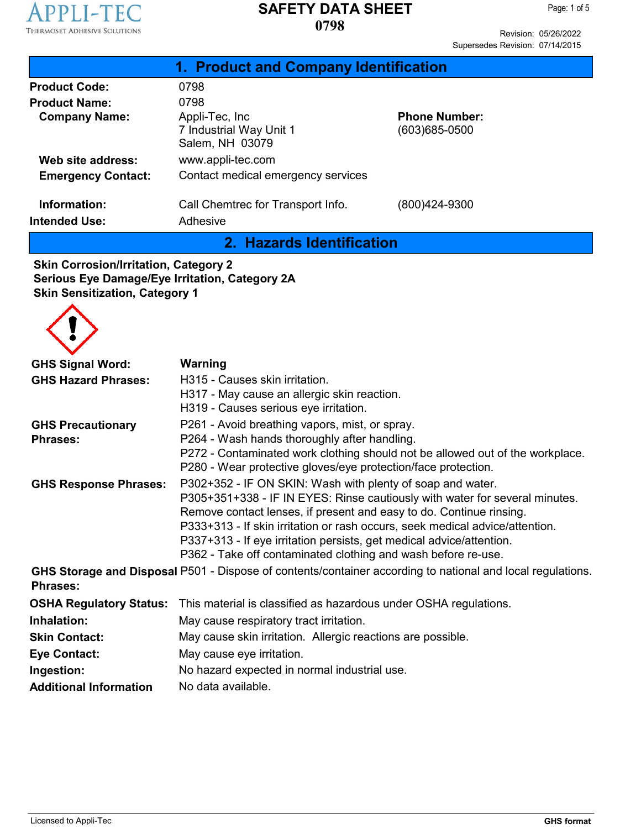

Revision: 05/26/2022 Supersedes Revision: 07/14/2015

| 1. Product and Company Identification |                                                              |                                       |  |  |
|---------------------------------------|--------------------------------------------------------------|---------------------------------------|--|--|
| <b>Product Code:</b>                  | 0798                                                         |                                       |  |  |
| <b>Product Name:</b>                  | 0798                                                         |                                       |  |  |
| <b>Company Name:</b>                  | Appli-Tec, Inc<br>7 Industrial Way Unit 1<br>Salem, NH 03079 | <b>Phone Number:</b><br>(603)685-0500 |  |  |
| Web site address:                     | www.appli-tec.com                                            |                                       |  |  |
| <b>Emergency Contact:</b>             | Contact medical emergency services                           |                                       |  |  |
| Information:<br><b>Intended Use:</b>  | Call Chemtrec for Transport Info.<br>Adhesive                | (800)424-9300                         |  |  |

**2. Hazards Identification**

**Skin Corrosion/Irritation, Category 2 Serious Eye Damage/Eye Irritation, Category 2A Skin Sensitization, Category 1**



| <b>GHS Signal Word:</b>        | Warning                                                                                                                                             |  |  |  |
|--------------------------------|-----------------------------------------------------------------------------------------------------------------------------------------------------|--|--|--|
| <b>GHS Hazard Phrases:</b>     | H315 - Causes skin irritation.                                                                                                                      |  |  |  |
|                                | H317 - May cause an allergic skin reaction.                                                                                                         |  |  |  |
|                                | H319 - Causes serious eye irritation.                                                                                                               |  |  |  |
| <b>GHS Precautionary</b>       | P261 - Avoid breathing vapors, mist, or spray.                                                                                                      |  |  |  |
| <b>Phrases:</b>                | P264 - Wash hands thoroughly after handling.                                                                                                        |  |  |  |
|                                | P272 - Contaminated work clothing should not be allowed out of the workplace.<br>P280 - Wear protective gloves/eye protection/face protection.      |  |  |  |
| <b>GHS Response Phrases:</b>   | P302+352 - IF ON SKIN: Wash with plenty of soap and water.                                                                                          |  |  |  |
|                                | P305+351+338 - IF IN EYES: Rinse cautiously with water for several minutes.                                                                         |  |  |  |
|                                | Remove contact lenses, if present and easy to do. Continue rinsing.<br>P333+313 - If skin irritation or rash occurs, seek medical advice/attention. |  |  |  |
|                                |                                                                                                                                                     |  |  |  |
|                                | P337+313 - If eye irritation persists, get medical advice/attention.                                                                                |  |  |  |
|                                | P362 - Take off contaminated clothing and wash before re-use.                                                                                       |  |  |  |
| <b>Phrases:</b>                | GHS Storage and Disposal P501 - Dispose of contents/container according to national and local regulations.                                          |  |  |  |
| <b>OSHA Regulatory Status:</b> | This material is classified as hazardous under OSHA regulations.                                                                                    |  |  |  |
| Inhalation:                    | May cause respiratory tract irritation.                                                                                                             |  |  |  |
| <b>Skin Contact:</b>           | May cause skin irritation. Allergic reactions are possible.                                                                                         |  |  |  |
| <b>Eye Contact:</b>            | May cause eye irritation.                                                                                                                           |  |  |  |
| Ingestion:                     | No hazard expected in normal industrial use.                                                                                                        |  |  |  |
| <b>Additional Information</b>  | No data available.                                                                                                                                  |  |  |  |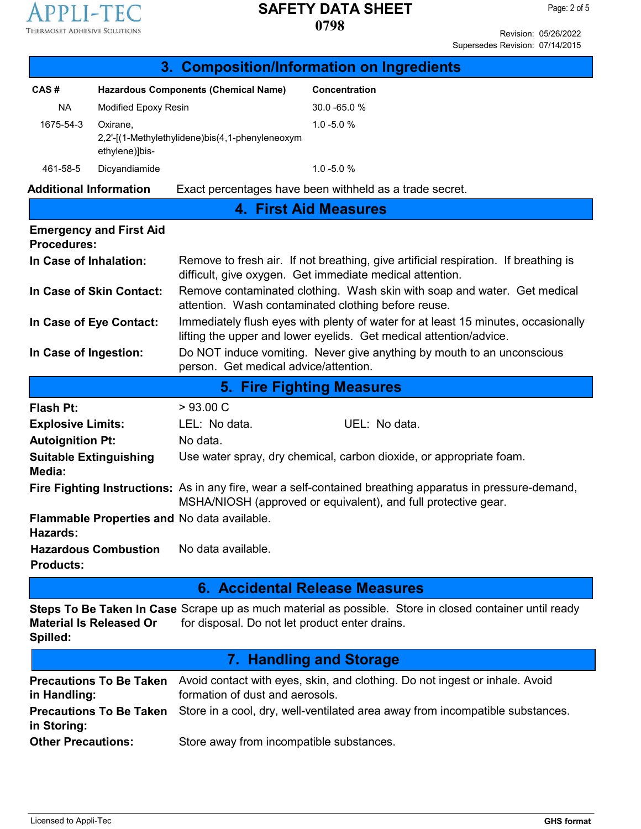

Revision: 05/26/2022 Supersedes Revision: 07/14/2015

|                               |                                |                                                                                                                                                                             | 3. Composition/Information on Ingredients                                                               |  |
|-------------------------------|--------------------------------|-----------------------------------------------------------------------------------------------------------------------------------------------------------------------------|---------------------------------------------------------------------------------------------------------|--|
| CAS#                          |                                | <b>Hazardous Components (Chemical Name)</b>                                                                                                                                 | <b>Concentration</b>                                                                                    |  |
| <b>NA</b>                     | Modified Epoxy Resin           |                                                                                                                                                                             | 30.0 -65.0 %                                                                                            |  |
| 1675-54-3                     | Oxirane,                       |                                                                                                                                                                             | $1.0 - 5.0 %$                                                                                           |  |
|                               | ethylene)]bis-                 | 2,2'-[(1-Methylethylidene)bis(4,1-phenyleneoxym                                                                                                                             |                                                                                                         |  |
| 461-58-5                      | Dicyandiamide                  | $1.0 - 5.0 %$                                                                                                                                                               |                                                                                                         |  |
| <b>Additional Information</b> |                                | Exact percentages have been withheld as a trade secret.                                                                                                                     |                                                                                                         |  |
|                               |                                |                                                                                                                                                                             | <b>4. First Aid Measures</b>                                                                            |  |
| <b>Procedures:</b>            | <b>Emergency and First Aid</b> |                                                                                                                                                                             |                                                                                                         |  |
| In Case of Inhalation:        |                                | Remove to fresh air. If not breathing, give artificial respiration. If breathing is<br>difficult, give oxygen. Get immediate medical attention.                             |                                                                                                         |  |
|                               | In Case of Skin Contact:       | Remove contaminated clothing. Wash skin with soap and water. Get medical<br>attention. Wash contaminated clothing before reuse.                                             |                                                                                                         |  |
|                               | In Case of Eye Contact:        | Immediately flush eyes with plenty of water for at least 15 minutes, occasionally<br>lifting the upper and lower eyelids. Get medical attention/advice.                     |                                                                                                         |  |
| In Case of Ingestion:         |                                | Do NOT induce vomiting. Never give anything by mouth to an unconscious<br>person. Get medical advice/attention.                                                             |                                                                                                         |  |
|                               |                                |                                                                                                                                                                             | <b>5. Fire Fighting Measures</b>                                                                        |  |
| <b>Flash Pt:</b>              |                                | >93.00 C                                                                                                                                                                    |                                                                                                         |  |
| <b>Explosive Limits:</b>      |                                | LEL: No data.                                                                                                                                                               | UEL: No data.                                                                                           |  |
| <b>Autoignition Pt:</b>       |                                | No data.                                                                                                                                                                    |                                                                                                         |  |
| Media:                        | <b>Suitable Extinguishing</b>  | Use water spray, dry chemical, carbon dioxide, or appropriate foam.                                                                                                         |                                                                                                         |  |
|                               |                                | Fire Fighting Instructions: As in any fire, wear a self-contained breathing apparatus in pressure-demand,<br>MSHA/NIOSH (approved or equivalent), and full protective gear. |                                                                                                         |  |
| Hazards:                      |                                | Flammable Properties and No data available.                                                                                                                                 |                                                                                                         |  |
| <b>Products:</b>              | <b>Hazardous Combustion</b>    | No data available.                                                                                                                                                          |                                                                                                         |  |
|                               |                                |                                                                                                                                                                             | 6. Accidental Release Measures                                                                          |  |
|                               |                                |                                                                                                                                                                             | Steps To Be Taken In Case Scrape up as much material as possible. Store in closed container until ready |  |
| Spilled:                      | <b>Material Is Released Or</b> | for disposal. Do not let product enter drains.                                                                                                                              |                                                                                                         |  |
|                               |                                |                                                                                                                                                                             | 7. Handling and Storage                                                                                 |  |
|                               | <b>Precautions To Be Taken</b> | Avoid contact with eyes, skin, and clothing. Do not ingest or inhale. Avoid                                                                                                 |                                                                                                         |  |
| in Handling:                  |                                | formation of dust and aerosols.                                                                                                                                             |                                                                                                         |  |
| in Storing:                   | <b>Precautions To Be Taken</b> | Store in a cool, dry, well-ventilated area away from incompatible substances.                                                                                               |                                                                                                         |  |
| <b>Other Precautions:</b>     |                                | Store away from incompatible substances.                                                                                                                                    |                                                                                                         |  |
|                               |                                |                                                                                                                                                                             |                                                                                                         |  |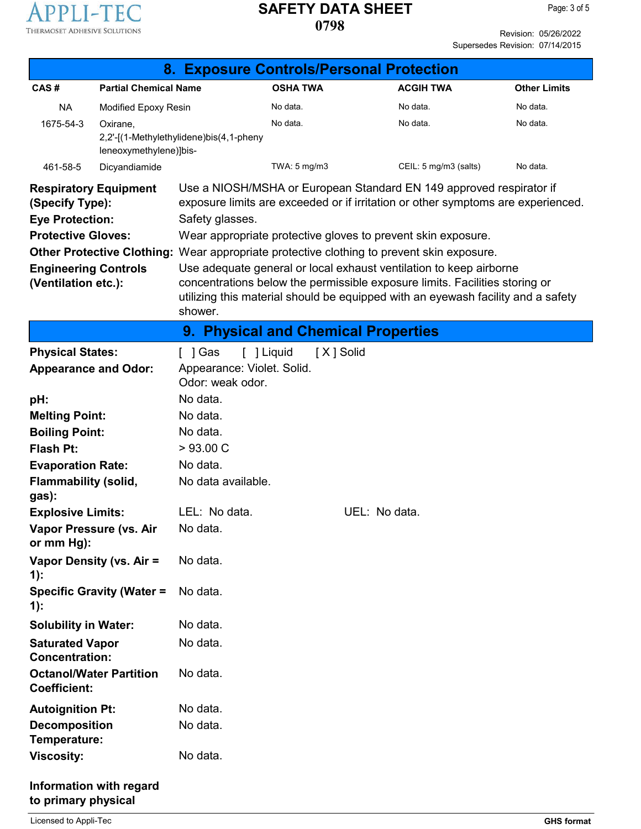

Revision: 05/26/2022 Supersedes Revision: 07/14/2015

|                                                       |                                  | 8. Exposure Controls/Personal Protection                                                  |                         |               |                                                                                                                                                                 |                     |
|-------------------------------------------------------|----------------------------------|-------------------------------------------------------------------------------------------|-------------------------|---------------|-----------------------------------------------------------------------------------------------------------------------------------------------------------------|---------------------|
| CAS#                                                  | <b>Partial Chemical Name</b>     |                                                                                           | <b>OSHA TWA</b>         |               | <b>ACGIH TWA</b>                                                                                                                                                | <b>Other Limits</b> |
| <b>NA</b>                                             | Modified Epoxy Resin             |                                                                                           | No data.                |               | No data.                                                                                                                                                        | No data.            |
| 1675-54-3                                             | Oxirane,                         |                                                                                           | No data.                |               | No data.                                                                                                                                                        | No data.            |
|                                                       | leneoxymethylene)]bis-           | 2,2'-[(1-Methylethylidene)bis(4,1-pheny                                                   |                         |               |                                                                                                                                                                 |                     |
| 461-58-5                                              | Dicyandiamide                    |                                                                                           | TWA: 5 mg/m3            |               | CEIL: 5 mg/m3 (salts)                                                                                                                                           | No data.            |
| <b>Respiratory Equipment</b>                          |                                  |                                                                                           |                         |               | Use a NIOSH/MSHA or European Standard EN 149 approved respirator if                                                                                             |                     |
| (Specify Type):                                       |                                  |                                                                                           |                         |               | exposure limits are exceeded or if irritation or other symptoms are experienced.                                                                                |                     |
| <b>Eye Protection:</b>                                |                                  | Safety glasses.                                                                           |                         |               |                                                                                                                                                                 |                     |
| <b>Protective Gloves:</b>                             |                                  |                                                                                           |                         |               | Wear appropriate protective gloves to prevent skin exposure.                                                                                                    |                     |
|                                                       |                                  | Other Protective Clothing: Wear appropriate protective clothing to prevent skin exposure. |                         |               |                                                                                                                                                                 |                     |
| <b>Engineering Controls</b>                           |                                  |                                                                                           |                         |               | Use adequate general or local exhaust ventilation to keep airborne                                                                                              |                     |
| (Ventilation etc.):                                   |                                  |                                                                                           |                         |               | concentrations below the permissible exposure limits. Facilities storing or<br>utilizing this material should be equipped with an eyewash facility and a safety |                     |
|                                                       |                                  | shower.                                                                                   |                         |               |                                                                                                                                                                 |                     |
|                                                       |                                  | 9. Physical and Chemical Properties                                                       |                         |               |                                                                                                                                                                 |                     |
| <b>Physical States:</b>                               |                                  | [ ] Gas                                                                                   | [ ] Liquid<br>[X] Solid |               |                                                                                                                                                                 |                     |
| <b>Appearance and Odor:</b>                           |                                  | Appearance: Violet. Solid.                                                                |                         |               |                                                                                                                                                                 |                     |
|                                                       |                                  | Odor: weak odor.                                                                          |                         |               |                                                                                                                                                                 |                     |
| pH:                                                   |                                  | No data.                                                                                  |                         |               |                                                                                                                                                                 |                     |
| <b>Melting Point:</b>                                 |                                  | No data.                                                                                  |                         |               |                                                                                                                                                                 |                     |
| <b>Boiling Point:</b><br><b>Flash Pt:</b>             |                                  | No data.<br>>93.00 C                                                                      |                         |               |                                                                                                                                                                 |                     |
| <b>Evaporation Rate:</b>                              |                                  | No data.                                                                                  |                         |               |                                                                                                                                                                 |                     |
| <b>Flammability (solid,</b>                           |                                  | No data available.                                                                        |                         |               |                                                                                                                                                                 |                     |
| gas):                                                 |                                  |                                                                                           |                         |               |                                                                                                                                                                 |                     |
| <b>Explosive Limits:</b>                              |                                  | LEL: No data.                                                                             |                         | UEL: No data. |                                                                                                                                                                 |                     |
| Vapor Pressure (vs. Air                               |                                  | No data.                                                                                  |                         |               |                                                                                                                                                                 |                     |
| or mm Hg):                                            |                                  |                                                                                           |                         |               |                                                                                                                                                                 |                     |
| Vapor Density (vs. Air =<br>$1)$ :                    |                                  | No data.                                                                                  |                         |               |                                                                                                                                                                 |                     |
| $1)$ :                                                | <b>Specific Gravity (Water =</b> | No data.                                                                                  |                         |               |                                                                                                                                                                 |                     |
| <b>Solubility in Water:</b>                           |                                  | No data.                                                                                  |                         |               |                                                                                                                                                                 |                     |
| <b>Saturated Vapor</b><br><b>Concentration:</b>       |                                  | No data.                                                                                  |                         |               |                                                                                                                                                                 |                     |
| <b>Octanol/Water Partition</b><br><b>Coefficient:</b> |                                  | No data.                                                                                  |                         |               |                                                                                                                                                                 |                     |
| <b>Autoignition Pt:</b>                               |                                  | No data.                                                                                  |                         |               |                                                                                                                                                                 |                     |
| <b>Decomposition</b><br>Temperature:                  |                                  | No data.                                                                                  |                         |               |                                                                                                                                                                 |                     |
| <b>Viscosity:</b>                                     |                                  | No data.                                                                                  |                         |               |                                                                                                                                                                 |                     |
| Information with regard<br>to primary physical        |                                  |                                                                                           |                         |               |                                                                                                                                                                 |                     |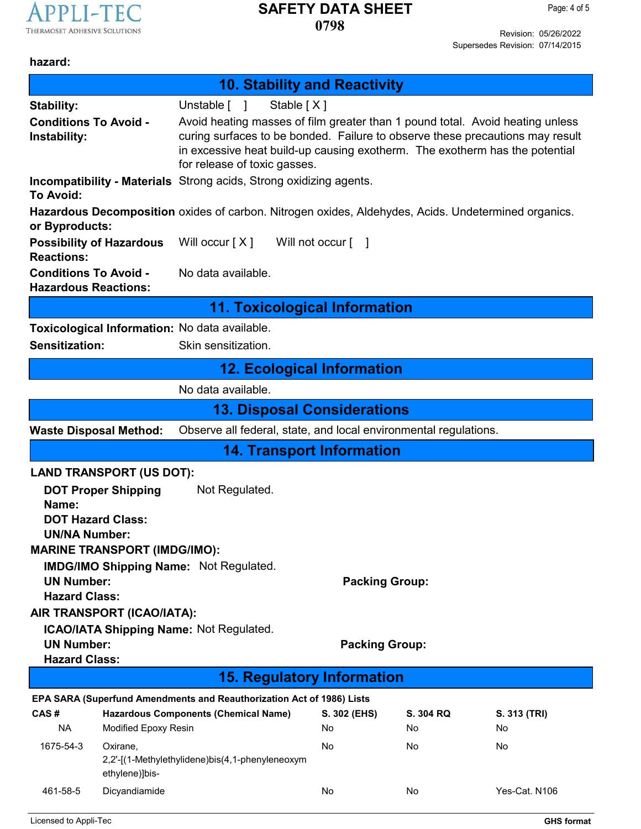

Revision: 05/26/2022 Supersedes Revision: 07/14/2015

### **hazard:**

|                                                                                                   | <b>10. Stability and Reactivity</b>                                                                                                                                                                                                                                           |              |           |               |  |
|---------------------------------------------------------------------------------------------------|-------------------------------------------------------------------------------------------------------------------------------------------------------------------------------------------------------------------------------------------------------------------------------|--------------|-----------|---------------|--|
| <b>Stability:</b>                                                                                 | Unstable [ ]<br>Stable [X]                                                                                                                                                                                                                                                    |              |           |               |  |
| <b>Conditions To Avoid -</b><br>Instability:                                                      | Avoid heating masses of film greater than 1 pound total. Avoid heating unless<br>curing surfaces to be bonded. Failure to observe these precautions may result<br>in excessive heat build-up causing exotherm. The exotherm has the potential<br>for release of toxic gasses. |              |           |               |  |
| Incompatibility - Materials Strong acids, Strong oxidizing agents.<br><b>To Avoid:</b>            |                                                                                                                                                                                                                                                                               |              |           |               |  |
| or Byproducts:                                                                                    | Hazardous Decomposition oxides of carbon. Nitrogen oxides, Aldehydes, Acids. Undetermined organics.                                                                                                                                                                           |              |           |               |  |
| <b>Possibility of Hazardous</b><br><b>Reactions:</b>                                              | Will occur $[X]$<br>Will not occur [ ]                                                                                                                                                                                                                                        |              |           |               |  |
| <b>Conditions To Avoid -</b><br><b>Hazardous Reactions:</b>                                       | No data available.                                                                                                                                                                                                                                                            |              |           |               |  |
|                                                                                                   | <b>11. Toxicological Information</b>                                                                                                                                                                                                                                          |              |           |               |  |
| Toxicological Information: No data available.                                                     |                                                                                                                                                                                                                                                                               |              |           |               |  |
| Sensitization:                                                                                    | Skin sensitization.                                                                                                                                                                                                                                                           |              |           |               |  |
|                                                                                                   | <b>12. Ecological Information</b>                                                                                                                                                                                                                                             |              |           |               |  |
| No data available.                                                                                |                                                                                                                                                                                                                                                                               |              |           |               |  |
| <b>13. Disposal Considerations</b>                                                                |                                                                                                                                                                                                                                                                               |              |           |               |  |
| Observe all federal, state, and local environmental regulations.<br><b>Waste Disposal Method:</b> |                                                                                                                                                                                                                                                                               |              |           |               |  |
|                                                                                                   | <b>14. Transport Information</b>                                                                                                                                                                                                                                              |              |           |               |  |
| <b>LAND TRANSPORT (US DOT):</b>                                                                   |                                                                                                                                                                                                                                                                               |              |           |               |  |
| <b>DOT Proper Shipping</b><br>Name:                                                               | Not Regulated.                                                                                                                                                                                                                                                                |              |           |               |  |
| <b>DOT Hazard Class:</b>                                                                          |                                                                                                                                                                                                                                                                               |              |           |               |  |
| <b>UN/NA Number:</b>                                                                              |                                                                                                                                                                                                                                                                               |              |           |               |  |
| <b>MARINE TRANSPORT (IMDG/IMO):</b>                                                               |                                                                                                                                                                                                                                                                               |              |           |               |  |
| <b>IMDG/IMO Shipping Name: Not Regulated.</b>                                                     |                                                                                                                                                                                                                                                                               |              |           |               |  |
| <b>UN Number:</b><br><b>Packing Group:</b><br><b>Hazard Class:</b>                                |                                                                                                                                                                                                                                                                               |              |           |               |  |
| AIR TRANSPORT (ICAO/IATA):                                                                        |                                                                                                                                                                                                                                                                               |              |           |               |  |
| <b>ICAO/IATA Shipping Name: Not Regulated.</b>                                                    |                                                                                                                                                                                                                                                                               |              |           |               |  |
| <b>UN Number:</b><br><b>Packing Group:</b>                                                        |                                                                                                                                                                                                                                                                               |              |           |               |  |
| <b>Hazard Class:</b>                                                                              |                                                                                                                                                                                                                                                                               |              |           |               |  |
| <b>15. Regulatory Information</b>                                                                 |                                                                                                                                                                                                                                                                               |              |           |               |  |
| EPA SARA (Superfund Amendments and Reauthorization Act of 1986) Lists                             |                                                                                                                                                                                                                                                                               |              |           |               |  |
| CAS#                                                                                              | <b>Hazardous Components (Chemical Name)</b>                                                                                                                                                                                                                                   | S. 302 (EHS) | S. 304 RQ | S. 313 (TRI)  |  |
| <b>NA</b><br>Modified Epoxy Resin                                                                 |                                                                                                                                                                                                                                                                               | No           | No.       | No            |  |
| 1675-54-3<br>Oxirane,<br>ethylene)]bis-                                                           | 2,2'-[(1-Methylethylidene)bis(4,1-phenyleneoxym                                                                                                                                                                                                                               | No           | No        | No            |  |
| 461-58-5<br>Dicyandiamide                                                                         |                                                                                                                                                                                                                                                                               | No           | No        | Yes-Cat. N106 |  |